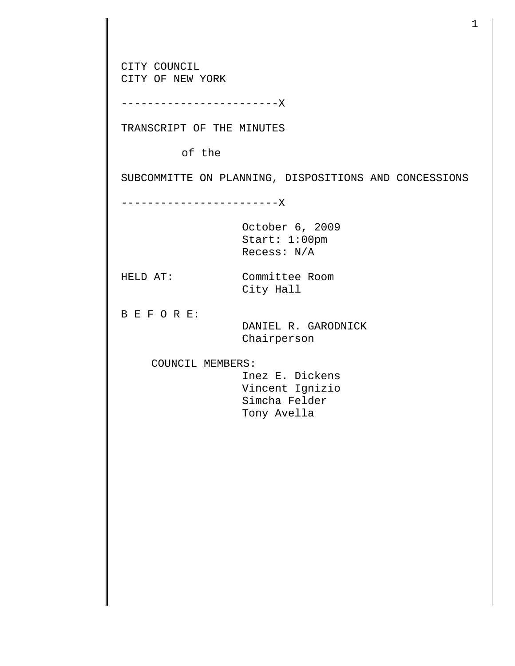CITY COUNCIL CITY OF NEW YORK ------------------------X TRANSCRIPT OF THE MINUTES of the SUBCOMMITTE ON PLANNING, DISPOSITIONS AND CONCESSIONS ------------------------X October 6, 2009 Start: 1:00pm Recess: N/A HELD AT: Committee Room City Hall B E F O R E: DANIEL R. GARODNICK Chairperson COUNCIL MEMBERS: Inez E. Dickens Vincent Ignizio Simcha Felder Tony Avella

1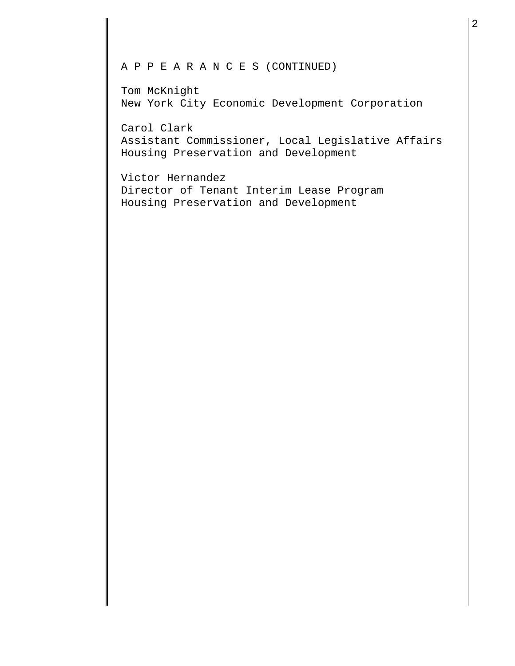## A P P E A R A N C E S (CONTINUED)

Tom McKnight New York City Economic Development Corporation

Carol Clark Assistant Commissioner, Local Legislative Affairs Housing Preservation and Development

Victor Hernandez Director of Tenant Interim Lease Program Housing Preservation and Development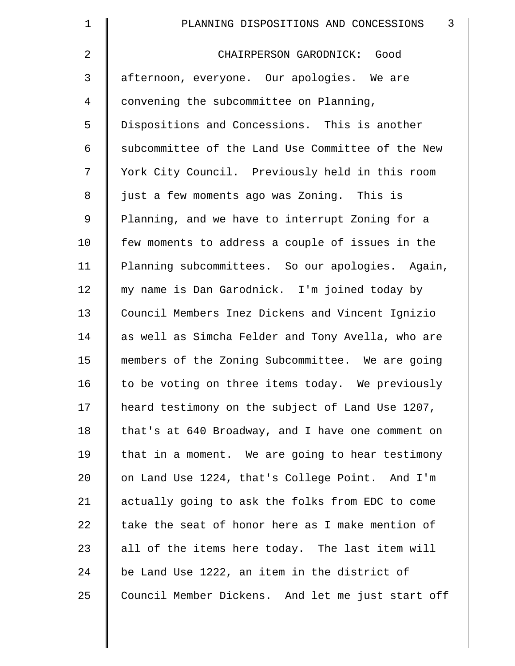| $\mathbf 1$    | $\mathbf{3}$<br>PLANNING DISPOSITIONS AND CONCESSIONS |
|----------------|-------------------------------------------------------|
| $\overline{2}$ | CHAIRPERSON GARODNICK: Good                           |
| 3              | afternoon, everyone. Our apologies. We are            |
| $\overline{4}$ | convening the subcommittee on Planning,               |
| 5              | Dispositions and Concessions. This is another         |
| 6              | subcommittee of the Land Use Committee of the New     |
| 7              | York City Council. Previously held in this room       |
| 8              | just a few moments ago was Zoning. This is            |
| 9              | Planning, and we have to interrupt Zoning for a       |
| 10             | few moments to address a couple of issues in the      |
| 11             | Planning subcommittees. So our apologies. Again,      |
| 12             | my name is Dan Garodnick. I'm joined today by         |
| 13             | Council Members Inez Dickens and Vincent Ignizio      |
| 14             | as well as Simcha Felder and Tony Avella, who are     |
| 15             | members of the Zoning Subcommittee. We are going      |
| 16             | to be voting on three items today. We previously      |
| 17             | heard testimony on the subject of Land Use 1207,      |
| 18             | that's at 640 Broadway, and I have one comment on     |
| 19             | that in a moment. We are going to hear testimony      |
| 20             | on Land Use 1224, that's College Point. And I'm       |
| 21             | actually going to ask the folks from EDC to come      |
| 22             | take the seat of honor here as I make mention of      |
| 23             | all of the items here today. The last item will       |
| 24             | be Land Use 1222, an item in the district of          |
| 25             | Council Member Dickens. And let me just start off     |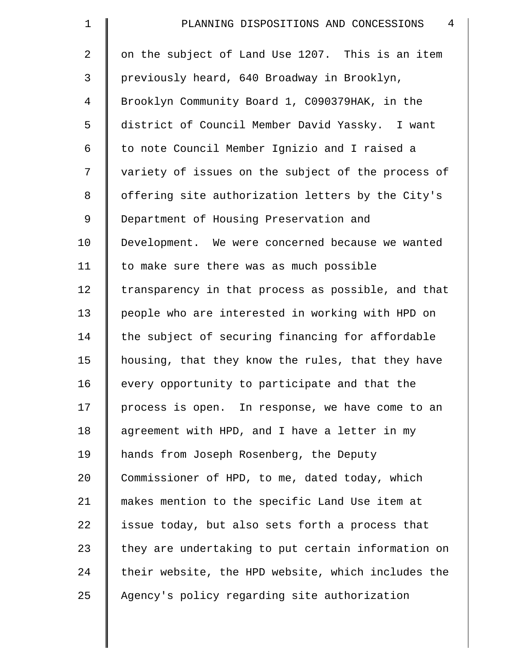| $\mathbf 1$    | 4<br>PLANNING DISPOSITIONS AND CONCESSIONS         |
|----------------|----------------------------------------------------|
| $\overline{a}$ | on the subject of Land Use 1207. This is an item   |
| 3              | previously heard, 640 Broadway in Brooklyn,        |
| 4              | Brooklyn Community Board 1, C090379HAK, in the     |
| 5              | district of Council Member David Yassky. I want    |
| 6              | to note Council Member Ignizio and I raised a      |
| 7              | variety of issues on the subject of the process of |
| 8              | offering site authorization letters by the City's  |
| 9              | Department of Housing Preservation and             |
| 10             | Development. We were concerned because we wanted   |
| 11             | to make sure there was as much possible            |
| 12             | transparency in that process as possible, and that |
| 13             | people who are interested in working with HPD on   |
| 14             | the subject of securing financing for affordable   |
| 15             | housing, that they know the rules, that they have  |
| 16             | every opportunity to participate and that the      |
| 17             | process is open. In response, we have come to an   |
| 18             | agreement with HPD, and I have a letter in my      |
| 19             | hands from Joseph Rosenberg, the Deputy            |
| 20             | Commissioner of HPD, to me, dated today, which     |
| 21             | makes mention to the specific Land Use item at     |
| 22             | issue today, but also sets forth a process that    |
| 23             | they are undertaking to put certain information on |
| 24             | their website, the HPD website, which includes the |
| 25             | Agency's policy regarding site authorization       |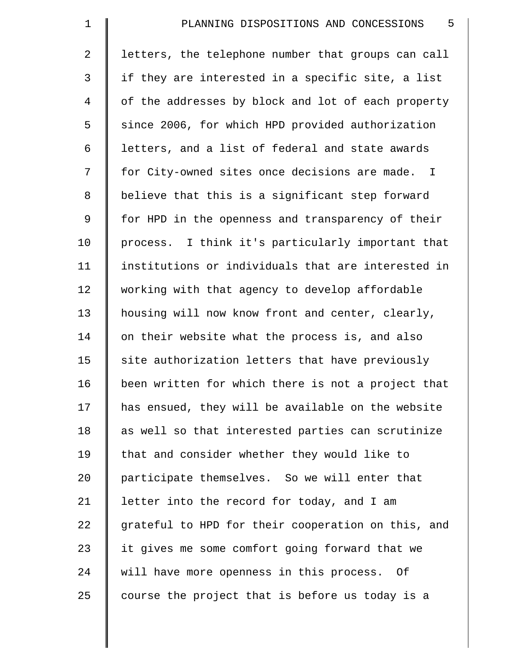| $\mathbf 1$    | 5<br>PLANNING DISPOSITIONS AND CONCESSIONS         |
|----------------|----------------------------------------------------|
| $\overline{a}$ | letters, the telephone number that groups can call |
| $\mathfrak{Z}$ | if they are interested in a specific site, a list  |
| 4              | of the addresses by block and lot of each property |
| 5              | since 2006, for which HPD provided authorization   |
| 6              | letters, and a list of federal and state awards    |
| 7              | for City-owned sites once decisions are made. I    |
| 8              | believe that this is a significant step forward    |
| 9              | for HPD in the openness and transparency of their  |
| 10             | process. I think it's particularly important that  |
| 11             | institutions or individuals that are interested in |
| 12             | working with that agency to develop affordable     |
| 13             | housing will now know front and center, clearly,   |
| 14             | on their website what the process is, and also     |
| 15             | site authorization letters that have previously    |
| 16             | been written for which there is not a project that |
| 17             | has ensued, they will be available on the website  |
| 18             | as well so that interested parties can scrutinize  |
| 19             | that and consider whether they would like to       |
| 20             | participate themselves. So we will enter that      |
| 21             | letter into the record for today, and I am         |
| 22             | grateful to HPD for their cooperation on this, and |
| 23             | it gives me some comfort going forward that we     |
| 24             | will have more openness in this process. Of        |
| 25             | course the project that is before us today is a    |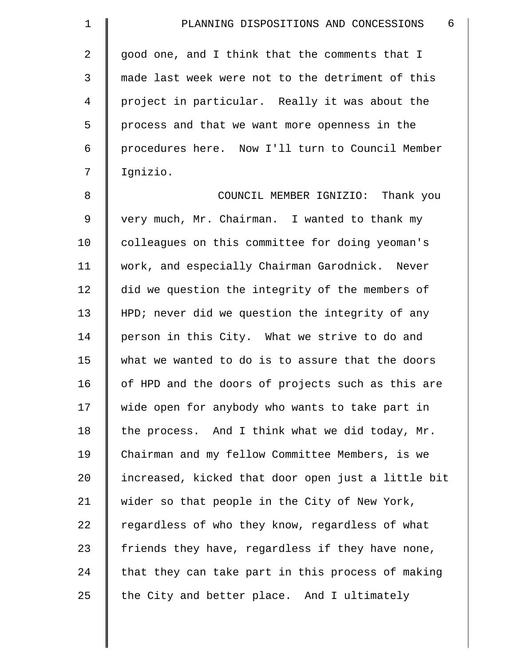| $\mathbf 1$    | - 6<br>PLANNING DISPOSITIONS AND CONCESSIONS       |
|----------------|----------------------------------------------------|
| 2              | good one, and I think that the comments that I     |
| $\mathfrak{Z}$ | made last week were not to the detriment of this   |
| $\overline{4}$ | project in particular. Really it was about the     |
| 5              | process and that we want more openness in the      |
| 6              | procedures here. Now I'll turn to Council Member   |
| 7              | Ignizio.                                           |
| 8              | COUNCIL MEMBER IGNIZIO: Thank you                  |
| $\overline{9}$ | very much, Mr. Chairman. I wanted to thank my      |
| 10             | colleagues on this committee for doing yeoman's    |
| 11             | work, and especially Chairman Garodnick. Never     |
| 12             | did we question the integrity of the members of    |
| 13             | HPD; never did we question the integrity of any    |
| 14             | person in this City. What we strive to do and      |
| 15             | what we wanted to do is to assure that the doors   |
| 16             | of HPD and the doors of projects such as this are  |
| 17             | wide open for anybody who wants to take part in    |
| 18             | the process. And I think what we did today, Mr.    |
| 19             | Chairman and my fellow Committee Members, is we    |
| 20             | increased, kicked that door open just a little bit |
| 21             | wider so that people in the City of New York,      |
| 22             | regardless of who they know, regardless of what    |
| 23             | friends they have, regardless if they have none,   |
| 24             | that they can take part in this process of making  |
| 25             | the City and better place. And I ultimately        |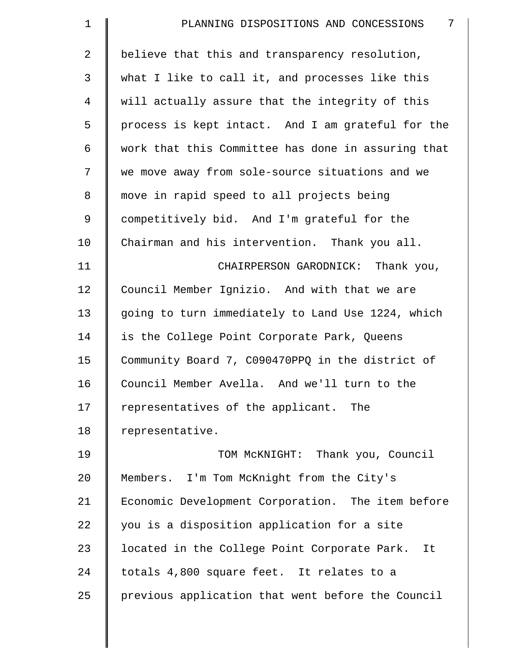| $\mathbf 1$    | 7<br>PLANNING DISPOSITIONS AND CONCESSIONS         |
|----------------|----------------------------------------------------|
| 2              | believe that this and transparency resolution,     |
| 3              | what I like to call it, and processes like this    |
| $\overline{4}$ | will actually assure that the integrity of this    |
| 5              | process is kept intact. And I am grateful for the  |
| 6              | work that this Committee has done in assuring that |
| 7              | we move away from sole-source situations and we    |
| 8              | move in rapid speed to all projects being          |
| $\mathsf 9$    | competitively bid. And I'm grateful for the        |
| 10             | Chairman and his intervention. Thank you all.      |
| 11             | CHAIRPERSON GARODNICK: Thank you,                  |
| 12             | Council Member Ignizio. And with that we are       |
| 13             | going to turn immediately to Land Use 1224, which  |
| 14             | is the College Point Corporate Park, Queens        |
| 15             | Community Board 7, C090470PPQ in the district of   |
| 16             | Council Member Avella. And we'll turn to the       |
| 17             | representatives of the applicant. The              |
| 18             | representative.                                    |
| 19             | TOM MCKNIGHT: Thank you, Council                   |
| 20             | Members. I'm Tom McKnight from the City's          |
| 21             | Economic Development Corporation. The item before  |
| 22             | you is a disposition application for a site        |
| 23             | located in the College Point Corporate Park. It    |
| 24             | totals 4,800 square feet. It relates to a          |
| 25             | previous application that went before the Council  |
|                |                                                    |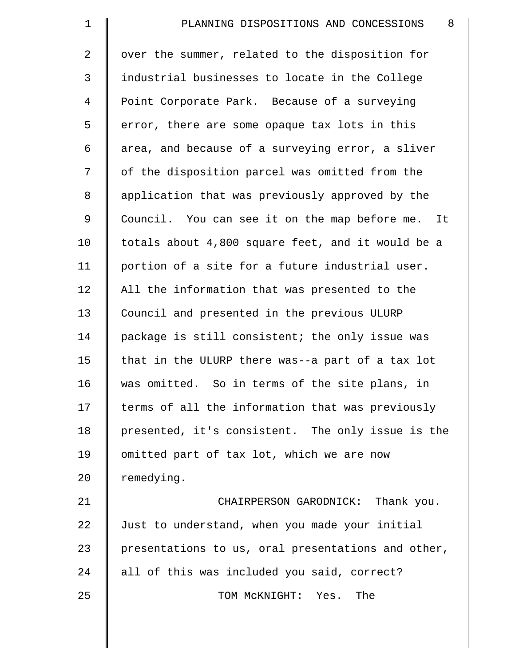| $\mathbf 1$ | 8<br>PLANNING DISPOSITIONS AND CONCESSIONS         |
|-------------|----------------------------------------------------|
| 2           | over the summer, related to the disposition for    |
| 3           | industrial businesses to locate in the College     |
| 4           | Point Corporate Park. Because of a surveying       |
| 5           | error, there are some opaque tax lots in this      |
| 6           | area, and because of a surveying error, a sliver   |
| 7           | of the disposition parcel was omitted from the     |
| 8           | application that was previously approved by the    |
| 9           | Council. You can see it on the map before me. It   |
| 10          | totals about 4,800 square feet, and it would be a  |
| 11          | portion of a site for a future industrial user.    |
| 12          | All the information that was presented to the      |
| 13          | Council and presented in the previous ULURP        |
| 14          | package is still consistent; the only issue was    |
| 15          | that in the ULURP there was--a part of a tax lot   |
| 16          | was omitted. So in terms of the site plans, in     |
| 17          | terms of all the information that was previously   |
| 18          | presented, it's consistent. The only issue is the  |
| 19          | omitted part of tax lot, which we are now          |
| 20          | remedying.                                         |
| 21          | CHAIRPERSON GARODNICK: Thank you.                  |
| 22          | Just to understand, when you made your initial     |
| 23          | presentations to us, oral presentations and other, |
| 24          | all of this was included you said, correct?        |
| 25          | TOM MCKNIGHT: Yes. The                             |
|             |                                                    |

 $\parallel$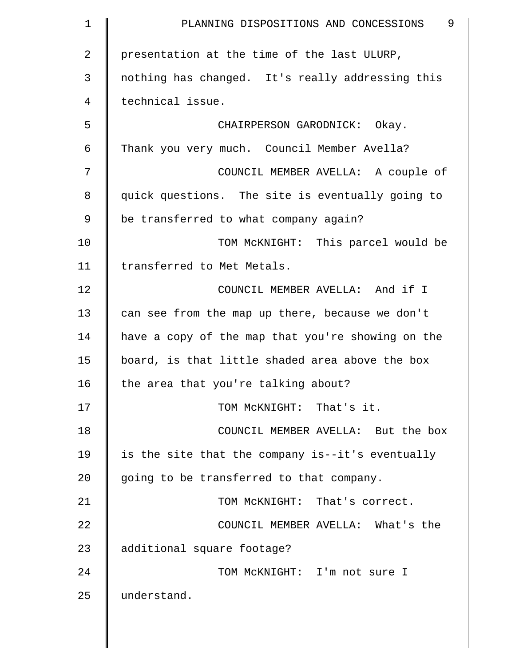| 1  | 9<br>PLANNING DISPOSITIONS AND CONCESSIONS        |
|----|---------------------------------------------------|
| 2  | presentation at the time of the last ULURP,       |
| 3  | nothing has changed. It's really addressing this  |
| 4  | technical issue.                                  |
| 5  | CHAIRPERSON GARODNICK: Okay.                      |
| 6  | Thank you very much. Council Member Avella?       |
| 7  | COUNCIL MEMBER AVELLA: A couple of                |
| 8  | quick questions. The site is eventually going to  |
| 9  | be transferred to what company again?             |
| 10 | TOM MCKNIGHT: This parcel would be                |
| 11 | transferred to Met Metals.                        |
| 12 | COUNCIL MEMBER AVELLA: And if I                   |
| 13 | can see from the map up there, because we don't   |
| 14 | have a copy of the map that you're showing on the |
| 15 | board, is that little shaded area above the box   |
| 16 | the area that you're talking about?               |
| 17 | TOM MCKNIGHT: That's it.                          |
| 18 | COUNCIL MEMBER AVELLA: But the box                |
| 19 | is the site that the company is--it's eventually  |
| 20 | going to be transferred to that company.          |
| 21 | TOM MCKNIGHT: That's correct.                     |
| 22 | COUNCIL MEMBER AVELLA: What's the                 |
| 23 | additional square footage?                        |
| 24 | TOM MCKNIGHT: I'm not sure I                      |
| 25 | understand.                                       |
|    |                                                   |

║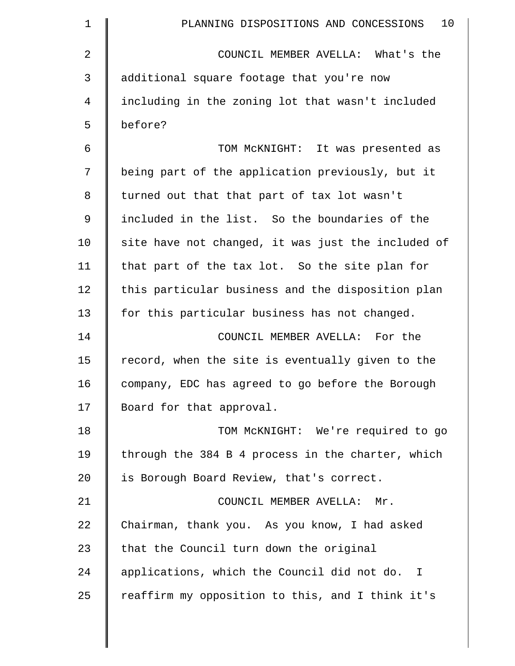| $\mathbf 1$    | 10<br>PLANNING DISPOSITIONS AND CONCESSIONS        |
|----------------|----------------------------------------------------|
| 2              | COUNCIL MEMBER AVELLA: What's the                  |
| 3              | additional square footage that you're now          |
| $\overline{4}$ | including in the zoning lot that wasn't included   |
| 5              | before?                                            |
| 6              | TOM MCKNIGHT: It was presented as                  |
| 7              | being part of the application previously, but it   |
| 8              | turned out that that part of tax lot wasn't        |
| $\mathsf 9$    | included in the list. So the boundaries of the     |
| 10             | site have not changed, it was just the included of |
| 11             | that part of the tax lot. So the site plan for     |
| 12             | this particular business and the disposition plan  |
| 13             | for this particular business has not changed.      |
| 14             | COUNCIL MEMBER AVELLA: For the                     |
| 15             | record, when the site is eventually given to the   |
| 16             | company, EDC has agreed to go before the Borough   |
| 17             | Board for that approval.                           |
| 18             | TOM McKNIGHT: We're required to go                 |
| 19             | through the 384 B 4 process in the charter, which  |
| 20             | is Borough Board Review, that's correct.           |
| 21             | COUNCIL MEMBER AVELLA: Mr.                         |
| 22             | Chairman, thank you. As you know, I had asked      |
| 23             | that the Council turn down the original            |
| 24             | applications, which the Council did not do. I      |
| 25             | reaffirm my opposition to this, and I think it's   |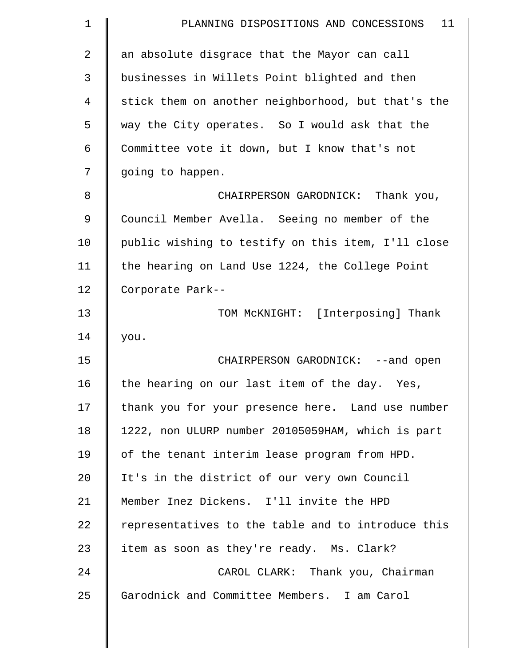| $\mathbf 1$    | 11<br>PLANNING DISPOSITIONS AND CONCESSIONS        |
|----------------|----------------------------------------------------|
| $\overline{2}$ | an absolute disgrace that the Mayor can call       |
| 3              | businesses in Willets Point blighted and then      |
| 4              | stick them on another neighborhood, but that's the |
| 5              | way the City operates. So I would ask that the     |
| 6              | Committee vote it down, but I know that's not      |
| 7              | going to happen.                                   |
| 8              | CHAIRPERSON GARODNICK: Thank you,                  |
| 9              | Council Member Avella. Seeing no member of the     |
| 10             | public wishing to testify on this item, I'll close |
| 11             | the hearing on Land Use 1224, the College Point    |
| 12             | Corporate Park--                                   |
| 13             | TOM MCKNIGHT: [Interposing] Thank                  |
| 14             | you.                                               |
| 15             | CHAIRPERSON GARODNICK: --and open                  |
| 16             | the hearing on our last item of the day. Yes,      |
| 17             | thank you for your presence here. Land use number  |
| 18             | 1222, non ULURP number 20105059HAM, which is part  |
| 19             | of the tenant interim lease program from HPD.      |
| 20             | It's in the district of our very own Council       |
| 21             | Member Inez Dickens. I'll invite the HPD           |
| 22             | representatives to the table and to introduce this |
| 23             | item as soon as they're ready. Ms. Clark?          |
| 24             | CAROL CLARK: Thank you, Chairman                   |
| 25             | Garodnick and Committee Members. I am Carol        |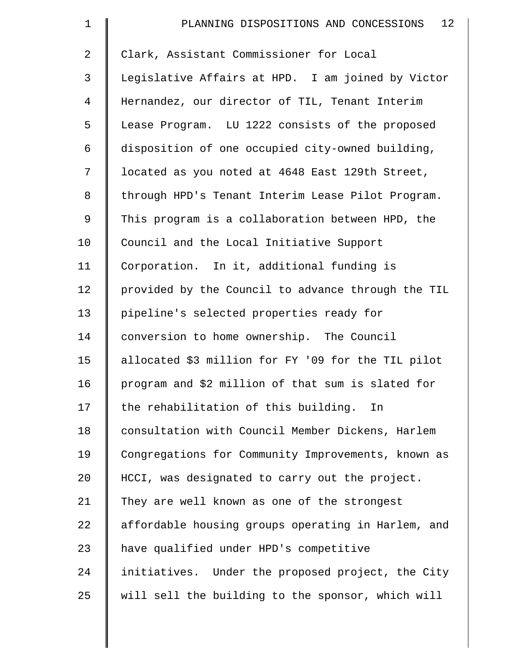| $\mathbf 1$    | 12 <sub>1</sub><br>PLANNING DISPOSITIONS AND CONCESSIONS |
|----------------|----------------------------------------------------------|
| $\overline{2}$ | Clark, Assistant Commissioner for Local                  |
| 3              | Legislative Affairs at HPD. I am joined by Victor        |
| $\overline{4}$ | Hernandez, our director of TIL, Tenant Interim           |
| 5              | Lease Program. LU 1222 consists of the proposed          |
| 6              | disposition of one occupied city-owned building,         |
| 7              | located as you noted at 4648 East 129th Street,          |
| 8              | through HPD's Tenant Interim Lease Pilot Program.        |
| 9              | This program is a collaboration between HPD, the         |
| 10             | Council and the Local Initiative Support                 |
| 11             | Corporation. In it, additional funding is                |
| 12             | provided by the Council to advance through the TIL       |
| 13             | pipeline's selected properties ready for                 |
| 14             | conversion to home ownership. The Council                |
| 15             | allocated \$3 million for FY '09 for the TIL pilot       |
| 16             | program and \$2 million of that sum is slated for        |
| 17             | the rehabilitation of this building. In                  |
| 18             | consultation with Council Member Dickens, Harlem         |
| 19             | Congregations for Community Improvements, known as       |
| 20             | HCCI, was designated to carry out the project.           |
| 21             | They are well known as one of the strongest              |
| 22             | affordable housing groups operating in Harlem, and       |
| 23             | have qualified under HPD's competitive                   |
| 24             | initiatives. Under the proposed project, the City        |
| 25             | will sell the building to the sponsor, which will        |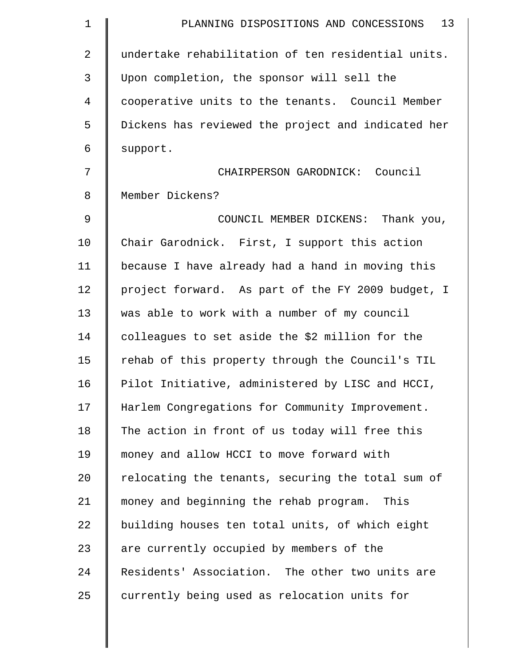| $\mathbf 1$    | 13<br>PLANNING DISPOSITIONS AND CONCESSIONS        |
|----------------|----------------------------------------------------|
| $\overline{2}$ | undertake rehabilitation of ten residential units. |
| 3              | Upon completion, the sponsor will sell the         |
| 4              | cooperative units to the tenants. Council Member   |
| 5              | Dickens has reviewed the project and indicated her |
| 6              | support.                                           |
| 7              | CHAIRPERSON GARODNICK: Council                     |
| 8              | Member Dickens?                                    |
| 9              | COUNCIL MEMBER DICKENS: Thank you,                 |
| 10             | Chair Garodnick. First, I support this action      |
| 11             | because I have already had a hand in moving this   |
| 12             | project forward. As part of the FY 2009 budget, I  |
| 13             | was able to work with a number of my council       |
| 14             | colleagues to set aside the \$2 million for the    |
| 15             | rehab of this property through the Council's TIL   |
| 16             | Pilot Initiative, administered by LISC and HCCI,   |
| 17             | Harlem Congregations for Community Improvement.    |
| 18             | The action in front of us today will free this     |
| 19             | money and allow HCCI to move forward with          |
| 20             | relocating the tenants, securing the total sum of  |
| 21             | money and beginning the rehab program.<br>This     |
| 22             | building houses ten total units, of which eight    |
| 23             | are currently occupied by members of the           |
| 24             | Residents' Association. The other two units are    |
| 25             | currently being used as relocation units for       |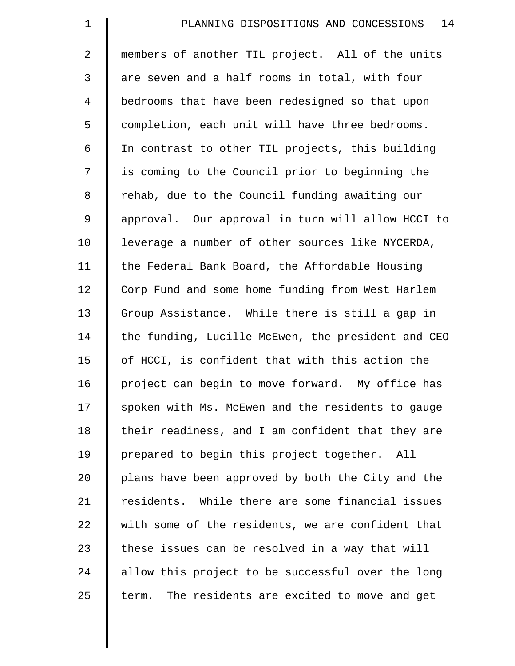| $\mathbf 1$    | 14<br>PLANNING DISPOSITIONS AND CONCESSIONS        |
|----------------|----------------------------------------------------|
| $\overline{2}$ | members of another TIL project. All of the units   |
| 3              | are seven and a half rooms in total, with four     |
| $\overline{4}$ | bedrooms that have been redesigned so that upon    |
| 5              | completion, each unit will have three bedrooms.    |
| 6              | In contrast to other TIL projects, this building   |
| 7              | is coming to the Council prior to beginning the    |
| $\,8\,$        | rehab, due to the Council funding awaiting our     |
| 9              | approval. Our approval in turn will allow HCCI to  |
| 10             | leverage a number of other sources like NYCERDA,   |
| 11             | the Federal Bank Board, the Affordable Housing     |
| 12             | Corp Fund and some home funding from West Harlem   |
| 13             | Group Assistance. While there is still a gap in    |
| 14             | the funding, Lucille McEwen, the president and CEO |
| 15             | of HCCI, is confident that with this action the    |
| 16             | project can begin to move forward. My office has   |
| 17             | spoken with Ms. McEwen and the residents to gauge  |
| 18             | their readiness, and I am confident that they are  |
| 19             | prepared to begin this project together. All       |
| 20             | plans have been approved by both the City and the  |
| 21             | residents. While there are some financial issues   |
| 22             | with some of the residents, we are confident that  |
| 23             | these issues can be resolved in a way that will    |
| 24             | allow this project to be successful over the long  |
| 25             | The residents are excited to move and get<br>term. |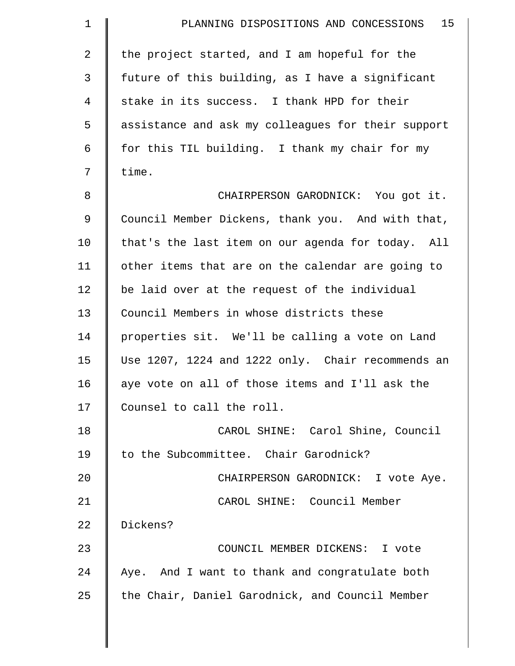| $\mathbf 1$    | 15<br>PLANNING DISPOSITIONS AND CONCESSIONS        |
|----------------|----------------------------------------------------|
| $\overline{a}$ | the project started, and I am hopeful for the      |
| 3              | future of this building, as I have a significant   |
| $\overline{4}$ | stake in its success. I thank HPD for their        |
| 5              | assistance and ask my colleagues for their support |
| 6              | for this TIL building. I thank my chair for my     |
| 7              | time.                                              |
| 8              | CHAIRPERSON GARODNICK: You got it.                 |
| 9              | Council Member Dickens, thank you. And with that,  |
| 10             | that's the last item on our agenda for today. All  |
| 11             | other items that are on the calendar are going to  |
| 12             | be laid over at the request of the individual      |
| 13             | Council Members in whose districts these           |
| 14             | properties sit. We'll be calling a vote on Land    |
| 15             | Use 1207, 1224 and 1222 only. Chair recommends an  |
| 16             | aye vote on all of those items and I'll ask the    |
| 17             | Counsel to call the roll.                          |
| 18             | CAROL SHINE: Carol Shine, Council                  |
| 19             | to the Subcommittee. Chair Garodnick?              |
| 20             | CHAIRPERSON GARODNICK: I vote Aye.                 |
| 21             | CAROL SHINE: Council Member                        |
| 22             | Dickens?                                           |
| 23             | COUNCIL MEMBER DICKENS: I vote                     |
| 24             | Aye. And I want to thank and congratulate both     |
| 25             | the Chair, Daniel Garodnick, and Council Member    |
|                |                                                    |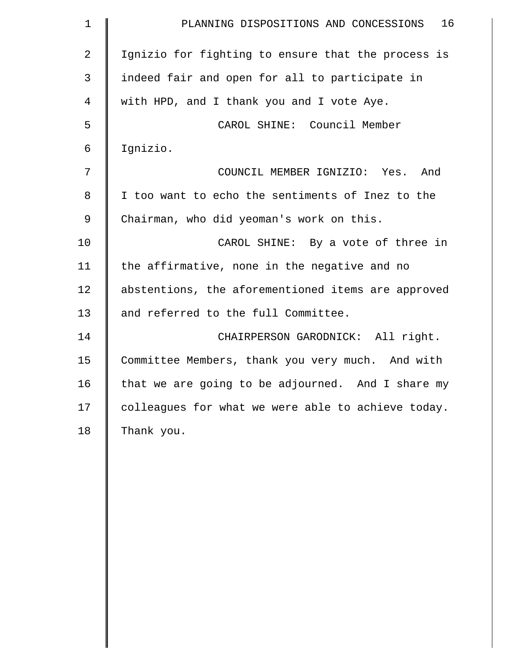| $\mathbf 1$    | 16<br>PLANNING DISPOSITIONS AND CONCESSIONS        |
|----------------|----------------------------------------------------|
| $\overline{2}$ | Ignizio for fighting to ensure that the process is |
| $\mathfrak{Z}$ | indeed fair and open for all to participate in     |
| 4              | with HPD, and I thank you and I vote Aye.          |
| 5              | CAROL SHINE: Council Member                        |
| 6              | Ignizio.                                           |
| 7              | COUNCIL MEMBER IGNIZIO: Yes. And                   |
| 8              | I too want to echo the sentiments of Inez to the   |
| $\mathsf 9$    | Chairman, who did yeoman's work on this.           |
| 10             | CAROL SHINE: By a vote of three in                 |
| 11             | the affirmative, none in the negative and no       |
| 12             | abstentions, the aforementioned items are approved |
| 13             | and referred to the full Committee.                |
| 14             | CHAIRPERSON GARODNICK: All right.                  |
| 15             | Committee Members, thank you very much. And with   |
| 16             | that we are going to be adjourned. And I share my  |
| 17             | colleagues for what we were able to achieve today. |
| 18             | Thank you.                                         |
|                |                                                    |
|                |                                                    |
|                |                                                    |
|                |                                                    |
|                |                                                    |
|                |                                                    |
|                |                                                    |
|                |                                                    |
|                |                                                    |